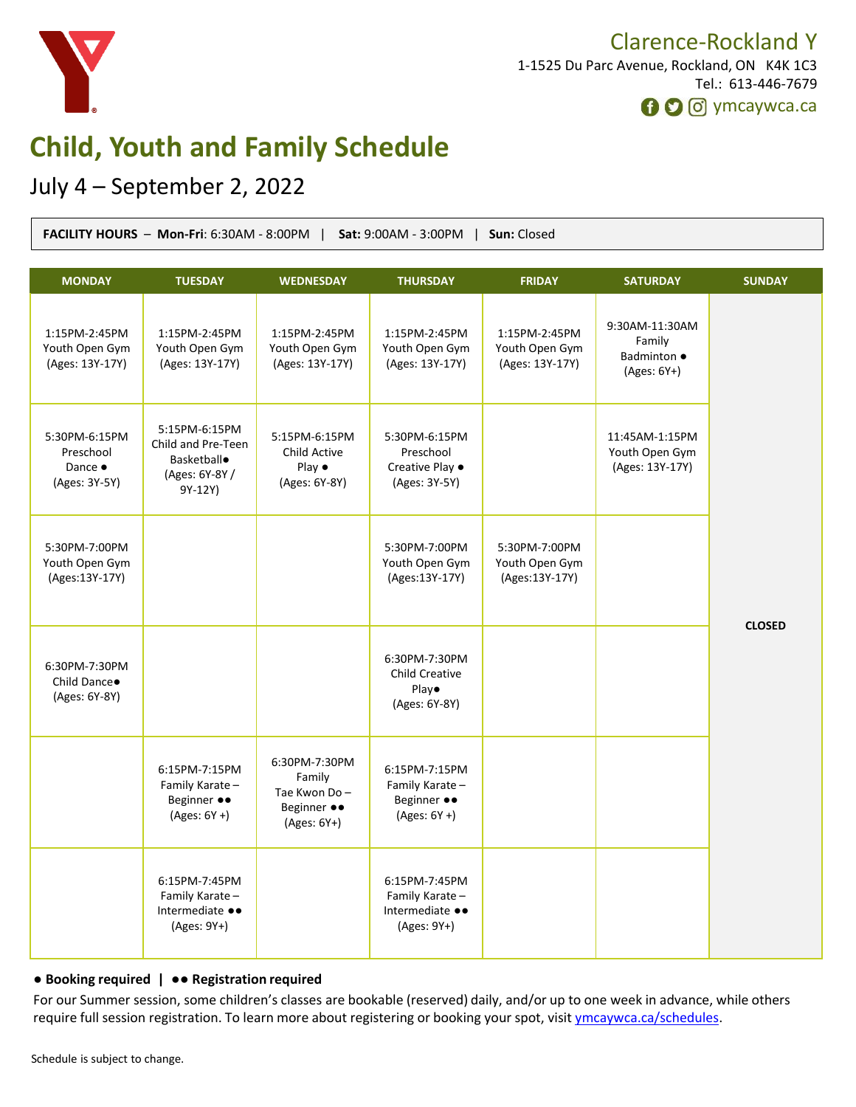

### Clarence-Rockland Y 1-1525 Du Parc Avenue, Rockland, ON K4K 1C3 Tel.: 613-446-7679 **O** O ymcaywca.ca

**Child, Youth and Family Schedule**

## July 4 – September 2, 2022

| Sat: 9:00AM - 3:00PM   Sun: Closed<br>FACILITY HOURS - Mon-Fri: 6:30AM - 8:00PM |                                                                                       |                                                                         |                                                                   |                                                    |                                                          |               |
|---------------------------------------------------------------------------------|---------------------------------------------------------------------------------------|-------------------------------------------------------------------------|-------------------------------------------------------------------|----------------------------------------------------|----------------------------------------------------------|---------------|
| <b>MONDAY</b>                                                                   | <b>TUESDAY</b>                                                                        | <b>WEDNESDAY</b>                                                        | <b>THURSDAY</b>                                                   | <b>FRIDAY</b>                                      | <b>SATURDAY</b>                                          | <b>SUNDAY</b> |
| 1:15PM-2:45PM<br>Youth Open Gym<br>(Ages: 13Y-17Y)                              | 1:15PM-2:45PM<br>Youth Open Gym<br>(Ages: 13Y-17Y)                                    | 1:15PM-2:45PM<br>Youth Open Gym<br>(Ages: 13Y-17Y)                      | 1:15PM-2:45PM<br>Youth Open Gym<br>(Ages: 13Y-17Y)                | 1:15PM-2:45PM<br>Youth Open Gym<br>(Ages: 13Y-17Y) | 9:30AM-11:30AM<br>Family<br>Badminton •<br>$(Ages: 6Y+)$ | <b>CLOSED</b> |
| 5:30PM-6:15PM<br>Preschool<br>Dance •<br>(Ages: 3Y-5Y)                          | 5:15PM-6:15PM<br>Child and Pre-Teen<br><b>Basketball</b><br>(Ages: 6Y-8Y /<br>9Y-12Y) | 5:15PM-6:15PM<br>Child Active<br>Play $\bullet$<br>(Ages: 6Y-8Y)        | 5:30PM-6:15PM<br>Preschool<br>Creative Play .<br>(Ages: 3Y-5Y)    |                                                    | 11:45AM-1:15PM<br>Youth Open Gym<br>(Ages: 13Y-17Y)      |               |
| 5:30PM-7:00PM<br>Youth Open Gym<br>(Ages:13Y-17Y)                               |                                                                                       |                                                                         | 5:30PM-7:00PM<br>Youth Open Gym<br>(Ages: 13Y-17Y)                | 5:30PM-7:00PM<br>Youth Open Gym<br>(Ages:13Y-17Y)  |                                                          |               |
| 6:30PM-7:30PM<br>Child Dance.<br>(Ages: 6Y-8Y)                                  |                                                                                       |                                                                         | 6:30PM-7:30PM<br><b>Child Creative</b><br>Play•<br>(Ages: 6Y-8Y)  |                                                    |                                                          |               |
|                                                                                 | 6:15PM-7:15PM<br>Family Karate-<br>Beginner ••<br>$(Ages: 6Y + )$                     | 6:30PM-7:30PM<br>Family<br>Tae Kwon Do-<br>Beginner ••<br>$(Ages: 6Y+)$ | 6:15PM-7:15PM<br>Family Karate-<br>Beginner ••<br>$(Ages: 6Y + )$ |                                                    |                                                          |               |
|                                                                                 | 6:15PM-7:45PM<br>Family Karate -<br>Intermediate ••<br>(Ages: 9Y+)                    |                                                                         | 6:15PM-7:45PM<br>Family Karate-<br>Intermediate ••<br>(Ages: 9Y+) |                                                    |                                                          |               |

#### ● **Booking required |** ●● **Registration required**

For our Summer session, some children's classes are bookable (reserved) daily, and/or up to one week in advance, while others require full session registration. To learn more about registering or booking your spot, visit [ymcaywca.ca/schedules](https://www.ymcaywca.ca/health-fitness/schedules/).